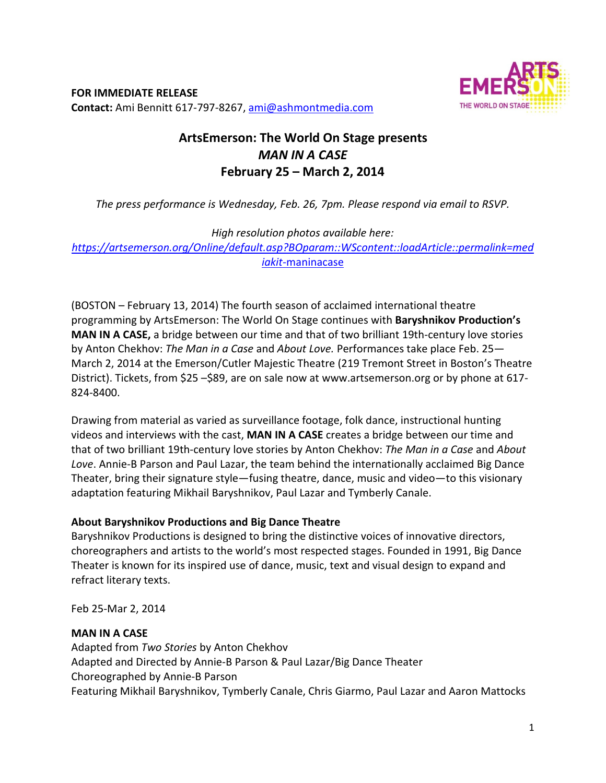**FOR IMMEDIATE RELEASE Contact:** Ami Bennitt 617‐797‐8267, ami@ashmontmedia.com



# **ArtsEmerson: The World On Stage presents**  *MAN IN A CASE*  **February 25 – March 2, 2014**

*The press performance is Wednesday, Feb. 26, 7pm. Please respond via email to RSVP.* 

*High resolution photos available here:* 

*https://artsemerson.org/Online/default.asp?BOparam::WScontent::loadArticle::permalink=med iakit-*maninacase

(BOSTON – February 13, 2014) The fourth season of acclaimed international theatre programming by ArtsEmerson: The World On Stage continues with **Baryshnikov Production's MAN IN A CASE,** a bridge between our time and that of two brilliant 19th‐century love stories by Anton Chekhov: *The Man in a Case* and *About Love.* Performances take place Feb. 25— March 2, 2014 at the Emerson/Cutler Majestic Theatre (219 Tremont Street in Boston's Theatre District). Tickets, from \$25 –\$89, are on sale now at www.artsemerson.org or by phone at 617-824‐8400.

Drawing from material as varied as surveillance footage, folk dance, instructional hunting videos and interviews with the cast, **MAN IN A CASE** creates a bridge between our time and that of two brilliant 19th‐century love stories by Anton Chekhov: *The Man in a Case* and *About Love*. Annie‐B Parson and Paul Lazar, the team behind the internationally acclaimed Big Dance Theater, bring their signature style—fusing theatre, dance, music and video—to this visionary adaptation featuring Mikhail Baryshnikov, Paul Lazar and Tymberly Canale.

# **About Baryshnikov Productions and Big Dance Theatre**

Baryshnikov Productions is designed to bring the distinctive voices of innovative directors, choreographers and artists to the world's most respected stages. Founded in 1991, Big Dance Theater is known for its inspired use of dance, music, text and visual design to expand and refract literary texts.

Feb 25‐Mar 2, 2014

# **MAN IN A CASE**

Adapted from *Two Stories* by Anton Chekhov Adapted and Directed by Annie‐B Parson & Paul Lazar/Big Dance Theater Choreographed by Annie‐B Parson Featuring Mikhail Baryshnikov, Tymberly Canale, Chris Giarmo, Paul Lazar and Aaron Mattocks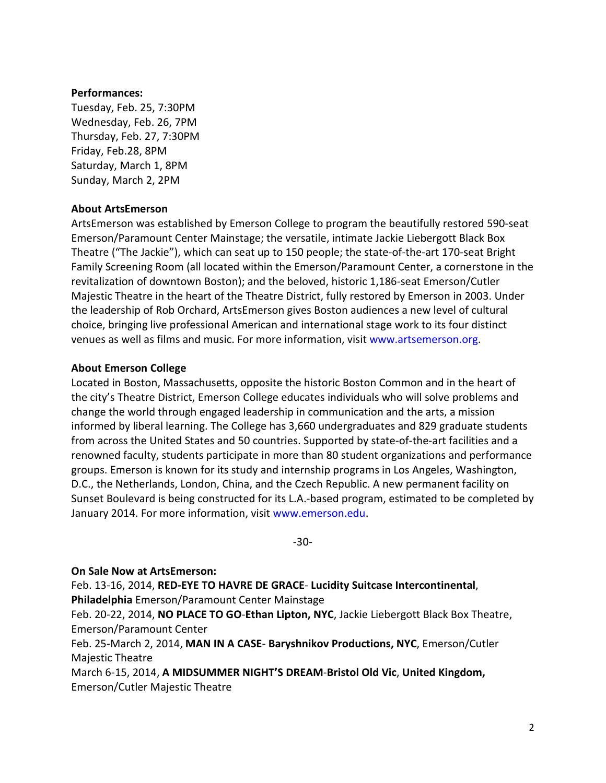#### **Performances:**

Tuesday, Feb. 25, 7:30PM Wednesday, Feb. 26, 7PM Thursday, Feb. 27, 7:30PM Friday, Feb.28, 8PM Saturday, March 1, 8PM Sunday, March 2, 2PM

## **About ArtsEmerson**

ArtsEmerson was established by Emerson College to program the beautifully restored 590‐seat Emerson/Paramount Center Mainstage; the versatile, intimate Jackie Liebergott Black Box Theatre ("The Jackie"), which can seat up to 150 people; the state‐of‐the‐art 170‐seat Bright Family Screening Room (all located within the Emerson/Paramount Center, a cornerstone in the revitalization of downtown Boston); and the beloved, historic 1,186‐seat Emerson/Cutler Majestic Theatre in the heart of the Theatre District, fully restored by Emerson in 2003. Under the leadership of Rob Orchard, ArtsEmerson gives Boston audiences a new level of cultural choice, bringing live professional American and international stage work to its four distinct venues as well as films and music. For more information, visit www.artsemerson.org.

### **About Emerson College**

Located in Boston, Massachusetts, opposite the historic Boston Common and in the heart of the city's Theatre District, Emerson College educates individuals who will solve problems and change the world through engaged leadership in communication and the arts, a mission informed by liberal learning. The College has 3,660 undergraduates and 829 graduate students from across the United States and 50 countries. Supported by state-of-the-art facilities and a renowned faculty, students participate in more than 80 student organizations and performance groups. Emerson is known for its study and internship programs in Los Angeles, Washington, D.C., the Netherlands, London, China, and the Czech Republic. A new permanent facility on Sunset Boulevard is being constructed for its L.A.‐based program, estimated to be completed by January 2014. For more information, visit www.emerson.edu.

‐30‐

# **On Sale Now at ArtsEmerson:**

Feb. 13‐16, 2014, **RED‐EYE TO HAVRE DE GRACE**‐ **Lucidity Suitcase Intercontinental**, **Philadelphia** Emerson/Paramount Center Mainstage

Feb. 20‐22, 2014, **NO PLACE TO GO**‐**Ethan Lipton, NYC**, Jackie Liebergott Black Box Theatre, Emerson/Paramount Center

Feb. 25‐March 2, 2014, **MAN IN A CASE**‐ **Baryshnikov Productions, NYC**, Emerson/Cutler Majestic Theatre

March 6‐15, 2014, **A MIDSUMMER NIGHT'S DREAM**‐**Bristol Old Vic**, **United Kingdom,**  Emerson/Cutler Majestic Theatre